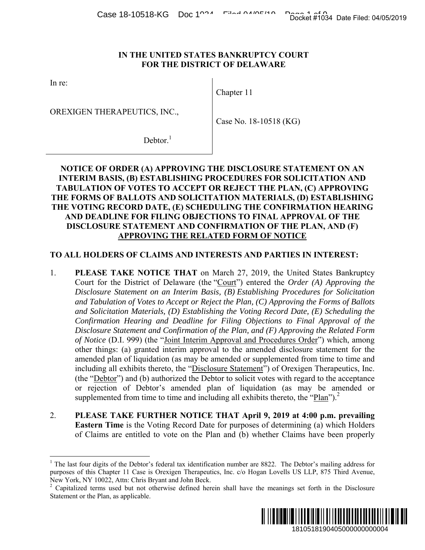#### **IN THE UNITED STATES BANKRUPTCY COURT FOR THE DISTRICT OF DELAWARE**

In re:

 $\overline{a}$ 

OREXIGEN THERAPEUTICS, INC.,

Chapter 11

Case No. 18-10518 (KG)

 $Dektor<sup>1</sup>$ 

# **NOTICE OF ORDER (A) APPROVING THE DISCLOSURE STATEMENT ON AN INTERIM BASIS, (B) ESTABLISHING PROCEDURES FOR SOLICITATION AND TABULATION OF VOTES TO ACCEPT OR REJECT THE PLAN, (C) APPROVING THE FORMS OF BALLOTS AND SOLICITATION MATERIALS, (D) ESTABLISHING THE VOTING RECORD DATE, (E) SCHEDULING THE CONFIRMATION HEARING AND DEADLINE FOR FILING OBJECTIONS TO FINAL APPROVAL OF THE DISCLOSURE STATEMENT AND CONFIRMATION OF THE PLAN, AND (F) APPROVING THE RELATED FORM OF NOTICE**

# **TO ALL HOLDERS OF CLAIMS AND INTERESTS AND PARTIES IN INTEREST:**

- 1. **PLEASE TAKE NOTICE THAT** on March 27, 2019, the United States Bankruptcy Court for the District of Delaware (the "Court") entered the *Order (A) Approving the Disclosure Statement on an Interim Basis, (B) Establishing Procedures for Solicitation and Tabulation of Votes to Accept or Reject the Plan, (C) Approving the Forms of Ballots and Solicitation Materials, (D) Establishing the Voting Record Date, (E) Scheduling the Confirmation Hearing and Deadline for Filing Objections to Final Approval of the Disclosure Statement and Confirmation of the Plan, and (F) Approving the Related Form of Notice* (D.I. 999) (the "Joint Interim Approval and Procedures Order") which, among other things: (a) granted interim approval to the amended disclosure statement for the amended plan of liquidation (as may be amended or supplemented from time to time and including all exhibits thereto, the "Disclosure Statement") of Orexigen Therapeutics, Inc. (the "Debtor") and (b) authorized the Debtor to solicit votes with regard to the acceptance or rejection of Debtor's amended plan of liquidation (as may be amended or supplemented from time to time and including all exhibits thereto, the "Plan").<sup>2</sup> Docket #1034 Date Filed: 04/05/2019<br>
1610<br>
1610<br>
1610<br>
1610<br>
1610<br>
1610<br>
1610<br>
1610<br>
1610<br>
1610<br>
1610<br>
1610<br>
1610<br>
1610<br>
1610<br>
1610<br>
1610<br>
1710<br>
1710<br>
1710<br>
1710<br>
1710<br>
1710<br>
1710<br>
1810<br>
1810<br>
200<br>
200<br>
200<br>
200<br>
200<br>
200
- 2. **PLEASE TAKE FURTHER NOTICE THAT April 9, 2019 at 4:00 p.m. prevailing Eastern Time** is the Voting Record Date for purposes of determining (a) which Holders of Claims are entitled to vote on the Plan and (b) whether Claims have been properly

 $2$  Capitalized terms used but not otherwise defined herein shall have the meanings set forth in the Disclosure Statement or the Plan, as applicable.



<sup>&</sup>lt;sup>1</sup> The last four digits of the Debtor's federal tax identification number are 8822. The Debtor's mailing address for purposes of this Chapter 11 Case is Orexigen Therapeutics, Inc. c/o Hogan Lovells US LLP, 875 Third Avenue, New York, NY 10022, Attn: Chris Bryant and John Beck.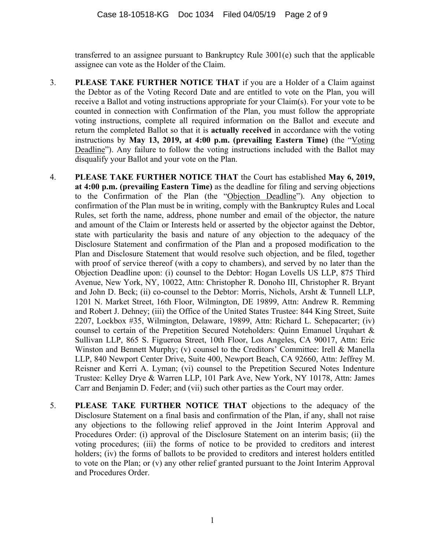transferred to an assignee pursuant to Bankruptcy Rule 3001(e) such that the applicable assignee can vote as the Holder of the Claim.

- 3. **PLEASE TAKE FURTHER NOTICE THAT** if you are a Holder of a Claim against the Debtor as of the Voting Record Date and are entitled to vote on the Plan, you will receive a Ballot and voting instructions appropriate for your Claim(s). For your vote to be counted in connection with Confirmation of the Plan, you must follow the appropriate voting instructions, complete all required information on the Ballot and execute and return the completed Ballot so that it is **actually received** in accordance with the voting instructions by **May 13, 2019, at 4:00 p.m. (prevailing Eastern Time)** (the "Voting Deadline"). Any failure to follow the voting instructions included with the Ballot may disqualify your Ballot and your vote on the Plan.
- 4. **PLEASE TAKE FURTHER NOTICE THAT** the Court has established **May 6, 2019, at 4:00 p.m. (prevailing Eastern Time)** as the deadline for filing and serving objections to the Confirmation of the Plan (the "Objection Deadline"). Any objection to confirmation of the Plan must be in writing, comply with the Bankruptcy Rules and Local Rules, set forth the name, address, phone number and email of the objector, the nature and amount of the Claim or Interests held or asserted by the objector against the Debtor, state with particularity the basis and nature of any objection to the adequacy of the Disclosure Statement and confirmation of the Plan and a proposed modification to the Plan and Disclosure Statement that would resolve such objection, and be filed, together with proof of service thereof (with a copy to chambers), and served by no later than the Objection Deadline upon: (i) counsel to the Debtor: Hogan Lovells US LLP, 875 Third Avenue, New York, NY, 10022, Attn: Christopher R. Donoho III, Christopher R. Bryant and John D. Beck; (ii) co-counsel to the Debtor: Morris, Nichols, Arsht & Tunnell LLP, 1201 N. Market Street, 16th Floor, Wilmington, DE 19899, Attn: Andrew R. Remming and Robert J. Dehney; (iii) the Office of the United States Trustee: 844 King Street, Suite 2207, Lockbox #35, Wilmington, Delaware, 19899, Attn: Richard L. Schepacarter; (iv) counsel to certain of the Prepetition Secured Noteholders: Quinn Emanuel Urquhart & Sullivan LLP, 865 S. Figueroa Street, 10th Floor, Los Angeles, CA 90017, Attn: Eric Winston and Bennett Murphy; (v) counsel to the Creditors' Committee: Irell & Manella LLP, 840 Newport Center Drive, Suite 400, Newport Beach, CA 92660, Attn: Jeffrey M. Reisner and Kerri A. Lyman; (vi) counsel to the Prepetition Secured Notes Indenture Trustee: Kelley Drye & Warren LLP, 101 Park Ave, New York, NY 10178, Attn: James Carr and Benjamin D. Feder; and (vii) such other parties as the Court may order.
- 5. **PLEASE TAKE FURTHER NOTICE THAT** objections to the adequacy of the Disclosure Statement on a final basis and confirmation of the Plan, if any, shall not raise any objections to the following relief approved in the Joint Interim Approval and Procedures Order: (i) approval of the Disclosure Statement on an interim basis; (ii) the voting procedures; (iii) the forms of notice to be provided to creditors and interest holders; (iv) the forms of ballots to be provided to creditors and interest holders entitled to vote on the Plan; or (v) any other relief granted pursuant to the Joint Interim Approval and Procedures Order.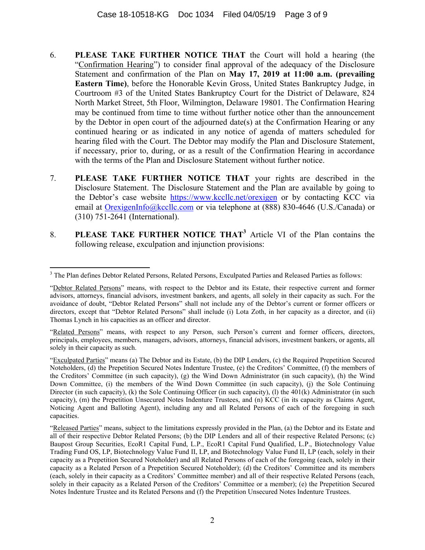- 6. **PLEASE TAKE FURTHER NOTICE THAT** the Court will hold a hearing (the "Confirmation Hearing") to consider final approval of the adequacy of the Disclosure Statement and confirmation of the Plan on **May 17, 2019 at 11:00 a.m. (prevailing Eastern Time)**, before the Honorable Kevin Gross, United States Bankruptcy Judge, in Courtroom #3 of the United States Bankruptcy Court for the District of Delaware, 824 North Market Street, 5th Floor, Wilmington, Delaware 19801. The Confirmation Hearing may be continued from time to time without further notice other than the announcement by the Debtor in open court of the adjourned date(s) at the Confirmation Hearing or any continued hearing or as indicated in any notice of agenda of matters scheduled for hearing filed with the Court. The Debtor may modify the Plan and Disclosure Statement, if necessary, prior to, during, or as a result of the Confirmation Hearing in accordance with the terms of the Plan and Disclosure Statement without further notice.
- 7. **PLEASE TAKE FURTHER NOTICE THAT** your rights are described in the Disclosure Statement. The Disclosure Statement and the Plan are available by going to the Debtor's case website https://www.kccllc.net/orexigen or by contacting KCC via email at OrexigenInfo@kccllc.com or via telephone at (888) 830-4646 (U.S./Canada) or (310) 751-2641 (International).
- 8. **PLEASE TAKE FURTHER NOTICE THAT<sup>3</sup>** Article VI of the Plan contains the following release, exculpation and injunction provisions:

<sup>1</sup> <sup>3</sup> The Plan defines Debtor Related Persons, Related Persons, Exculpated Parties and Released Parties as follows:

<sup>&</sup>quot;Debtor Related Persons" means, with respect to the Debtor and its Estate, their respective current and former advisors, attorneys, financial advisors, investment bankers, and agents, all solely in their capacity as such. For the avoidance of doubt, "Debtor Related Persons" shall not include any of the Debtor's current or former officers or directors, except that "Debtor Related Persons" shall include (i) Lota Zoth, in her capacity as a director, and (ii) Thomas Lynch in his capacities as an officer and director.

<sup>&</sup>quot;Related Persons" means, with respect to any Person, such Person's current and former officers, directors, principals, employees, members, managers, advisors, attorneys, financial advisors, investment bankers, or agents, all solely in their capacity as such.

<sup>&</sup>quot;Exculpated Parties" means (a) The Debtor and its Estate, (b) the DIP Lenders, (c) the Required Prepetition Secured Noteholders, (d) the Prepetition Secured Notes Indenture Trustee, (e) the Creditors' Committee, (f) the members of the Creditors' Committee (in such capacity), (g) the Wind Down Administrator (in such capacity), (h) the Wind Down Committee, (i) the members of the Wind Down Committee (in such capacity), (j) the Sole Continuing Director (in such capacity), (k) the Sole Continuing Officer (in such capacity), (l) the 401(k) Administrator (in such capacity), (m) the Prepetition Unsecured Notes Indenture Trustees, and (n) KCC (in its capacity as Claims Agent, Noticing Agent and Balloting Agent), including any and all Related Persons of each of the foregoing in such capacities.

<sup>&</sup>quot;Released Parties" means, subject to the limitations expressly provided in the Plan, (a) the Debtor and its Estate and all of their respective Debtor Related Persons; (b) the DIP Lenders and all of their respective Related Persons; (c) Baupost Group Securities, EcoR1 Capital Fund, L.P., EcoR1 Capital Fund Qualified, L.P., Biotechnology Value Trading Fund OS, LP, Biotechnology Value Fund II, LP, and Biotechnology Value Fund II, LP (each, solely in their capacity as a Prepetition Secured Noteholder) and all Related Persons of each of the foregoing (each, solely in their capacity as a Related Person of a Prepetition Secured Noteholder); (d) the Creditors' Committee and its members (each, solely in their capacity as a Creditors' Committee member) and all of their respective Related Persons (each, solely in their capacity as a Related Person of the Creditors' Committee or a member); (e) the Prepetition Secured Notes Indenture Trustee and its Related Persons and (f) the Prepetition Unsecured Notes Indenture Trustees.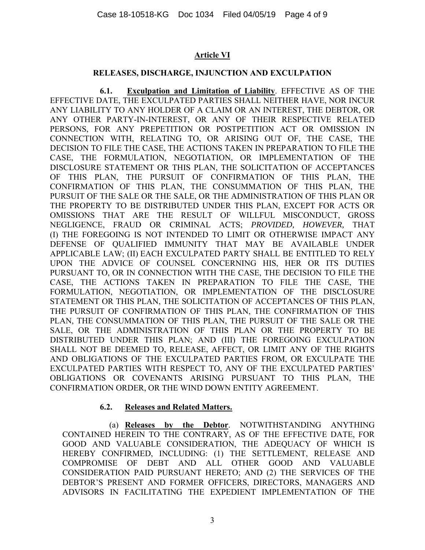# **Article VI**

#### **RELEASES, DISCHARGE, INJUNCTION AND EXCULPATION**

**6.1. Exculpation and Limitation of Liability**. EFFECTIVE AS OF THE EFFECTIVE DATE, THE EXCULPATED PARTIES SHALL NEITHER HAVE, NOR INCUR ANY LIABILITY TO ANY HOLDER OF A CLAIM OR AN INTEREST, THE DEBTOR, OR ANY OTHER PARTY-IN-INTEREST, OR ANY OF THEIR RESPECTIVE RELATED PERSONS, FOR ANY PREPETITION OR POSTPETITION ACT OR OMISSION IN CONNECTION WITH, RELATING TO, OR ARISING OUT OF, THE CASE, THE DECISION TO FILE THE CASE, THE ACTIONS TAKEN IN PREPARATION TO FILE THE CASE, THE FORMULATION, NEGOTIATION, OR IMPLEMENTATION OF THE DISCLOSURE STATEMENT OR THIS PLAN, THE SOLICITATION OF ACCEPTANCES OF THIS PLAN, THE PURSUIT OF CONFIRMATION OF THIS PLAN, THE CONFIRMATION OF THIS PLAN, THE CONSUMMATION OF THIS PLAN, THE PURSUIT OF THE SALE OR THE SALE, OR THE ADMINISTRATION OF THIS PLAN OR THE PROPERTY TO BE DISTRIBUTED UNDER THIS PLAN, EXCEPT FOR ACTS OR OMISSIONS THAT ARE THE RESULT OF WILLFUL MISCONDUCT, GROSS NEGLIGENCE, FRAUD OR CRIMINAL ACTS; *PROVIDED, HOWEVER,* THAT (I) THE FOREGOING IS NOT INTENDED TO LIMIT OR OTHERWISE IMPACT ANY DEFENSE OF QUALIFIED IMMUNITY THAT MAY BE AVAILABLE UNDER APPLICABLE LAW; (II) EACH EXCULPATED PARTY SHALL BE ENTITLED TO RELY UPON THE ADVICE OF COUNSEL CONCERNING HIS, HER OR ITS DUTIES PURSUANT TO, OR IN CONNECTION WITH THE CASE, THE DECISION TO FILE THE CASE, THE ACTIONS TAKEN IN PREPARATION TO FILE THE CASE, THE FORMULATION, NEGOTIATION, OR IMPLEMENTATION OF THE DISCLOSURE STATEMENT OR THIS PLAN, THE SOLICITATION OF ACCEPTANCES OF THIS PLAN, THE PURSUIT OF CONFIRMATION OF THIS PLAN, THE CONFIRMATION OF THIS PLAN, THE CONSUMMATION OF THIS PLAN, THE PURSUIT OF THE SALE OR THE SALE, OR THE ADMINISTRATION OF THIS PLAN OR THE PROPERTY TO BE DISTRIBUTED UNDER THIS PLAN; AND (III) THE FOREGOING EXCULPATION SHALL NOT BE DEEMED TO, RELEASE, AFFECT, OR LIMIT ANY OF THE RIGHTS AND OBLIGATIONS OF THE EXCULPATED PARTIES FROM, OR EXCULPATE THE EXCULPATED PARTIES WITH RESPECT TO, ANY OF THE EXCULPATED PARTIES' OBLIGATIONS OR COVENANTS ARISING PURSUANT TO THIS PLAN, THE CONFIRMATION ORDER, OR THE WIND DOWN ENTITY AGREEMENT.

# **6.2. Releases and Related Matters.**

(a) **Releases by the Debtor**. NOTWITHSTANDING ANYTHING CONTAINED HEREIN TO THE CONTRARY, AS OF THE EFFECTIVE DATE, FOR GOOD AND VALUABLE CONSIDERATION, THE ADEQUACY OF WHICH IS HEREBY CONFIRMED, INCLUDING: (1) THE SETTLEMENT, RELEASE AND COMPROMISE OF DEBT AND ALL OTHER GOOD AND VALUABLE CONSIDERATION PAID PURSUANT HERETO; AND (2) THE SERVICES OF THE DEBTOR'S PRESENT AND FORMER OFFICERS, DIRECTORS, MANAGERS AND ADVISORS IN FACILITATING THE EXPEDIENT IMPLEMENTATION OF THE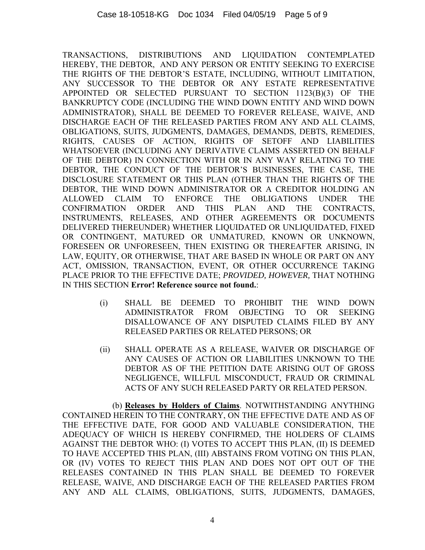TRANSACTIONS, DISTRIBUTIONS AND LIQUIDATION CONTEMPLATED HEREBY, THE DEBTOR, AND ANY PERSON OR ENTITY SEEKING TO EXERCISE THE RIGHTS OF THE DEBTOR'S ESTATE, INCLUDING, WITHOUT LIMITATION, ANY SUCCESSOR TO THE DEBTOR OR ANY ESTATE REPRESENTATIVE APPOINTED OR SELECTED PURSUANT TO SECTION 1123(B)(3) OF THE BANKRUPTCY CODE (INCLUDING THE WIND DOWN ENTITY AND WIND DOWN ADMINISTRATOR), SHALL BE DEEMED TO FOREVER RELEASE, WAIVE, AND DISCHARGE EACH OF THE RELEASED PARTIES FROM ANY AND ALL CLAIMS, OBLIGATIONS, SUITS, JUDGMENTS, DAMAGES, DEMANDS, DEBTS, REMEDIES, RIGHTS, CAUSES OF ACTION, RIGHTS OF SETOFF AND LIABILITIES WHATSOEVER (INCLUDING ANY DERIVATIVE CLAIMS ASSERTED ON BEHALF OF THE DEBTOR) IN CONNECTION WITH OR IN ANY WAY RELATING TO THE DEBTOR, THE CONDUCT OF THE DEBTOR'S BUSINESSES, THE CASE, THE DISCLOSURE STATEMENT OR THIS PLAN (OTHER THAN THE RIGHTS OF THE DEBTOR, THE WIND DOWN ADMINISTRATOR OR A CREDITOR HOLDING AN ALLOWED CLAIM TO ENFORCE THE OBLIGATIONS UNDER THE CONFIRMATION ORDER AND THIS PLAN AND THE CONTRACTS, INSTRUMENTS, RELEASES, AND OTHER AGREEMENTS OR DOCUMENTS DELIVERED THEREUNDER) WHETHER LIQUIDATED OR UNLIQUIDATED, FIXED OR CONTINGENT, MATURED OR UNMATURED, KNOWN OR UNKNOWN, FORESEEN OR UNFORESEEN, THEN EXISTING OR THEREAFTER ARISING, IN LAW, EQUITY, OR OTHERWISE, THAT ARE BASED IN WHOLE OR PART ON ANY ACT, OMISSION, TRANSACTION, EVENT, OR OTHER OCCURRENCE TAKING PLACE PRIOR TO THE EFFECTIVE DATE; *PROVIDED, HOWEVER,* THAT NOTHING IN THIS SECTION **Error! Reference source not found.**:

- (i) SHALL BE DEEMED TO PROHIBIT THE WIND DOWN ADMINISTRATOR FROM OBJECTING TO OR SEEKING DISALLOWANCE OF ANY DISPUTED CLAIMS FILED BY ANY RELEASED PARTIES OR RELATED PERSONS; OR
- (ii) SHALL OPERATE AS A RELEASE, WAIVER OR DISCHARGE OF ANY CAUSES OF ACTION OR LIABILITIES UNKNOWN TO THE DEBTOR AS OF THE PETITION DATE ARISING OUT OF GROSS NEGLIGENCE, WILLFUL MISCONDUCT, FRAUD OR CRIMINAL ACTS OF ANY SUCH RELEASED PARTY OR RELATED PERSON.

(b) **Releases by Holders of Claims**. NOTWITHSTANDING ANYTHING CONTAINED HEREIN TO THE CONTRARY, ON THE EFFECTIVE DATE AND AS OF THE EFFECTIVE DATE, FOR GOOD AND VALUABLE CONSIDERATION, THE ADEQUACY OF WHICH IS HEREBY CONFIRMED, THE HOLDERS OF CLAIMS AGAINST THE DEBTOR WHO: (I) VOTES TO ACCEPT THIS PLAN, (II) IS DEEMED TO HAVE ACCEPTED THIS PLAN, (III) ABSTAINS FROM VOTING ON THIS PLAN, OR (IV) VOTES TO REJECT THIS PLAN AND DOES NOT OPT OUT OF THE RELEASES CONTAINED IN THIS PLAN SHALL BE DEEMED TO FOREVER RELEASE, WAIVE, AND DISCHARGE EACH OF THE RELEASED PARTIES FROM ANY AND ALL CLAIMS, OBLIGATIONS, SUITS, JUDGMENTS, DAMAGES,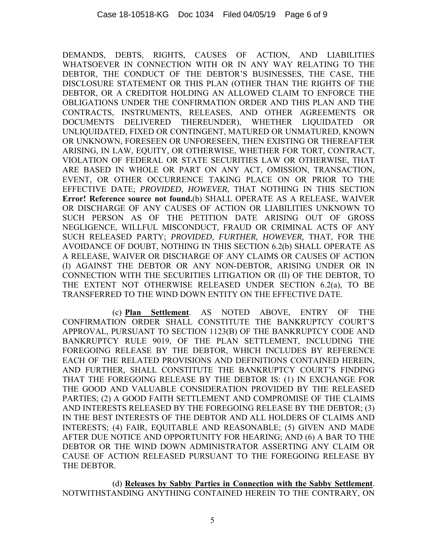DEMANDS, DEBTS, RIGHTS, CAUSES OF ACTION, AND LIABILITIES WHATSOEVER IN CONNECTION WITH OR IN ANY WAY RELATING TO THE DEBTOR, THE CONDUCT OF THE DEBTOR'S BUSINESSES, THE CASE, THE DISCLOSURE STATEMENT OR THIS PLAN (OTHER THAN THE RIGHTS OF THE DEBTOR, OR A CREDITOR HOLDING AN ALLOWED CLAIM TO ENFORCE THE OBLIGATIONS UNDER THE CONFIRMATION ORDER AND THIS PLAN AND THE CONTRACTS, INSTRUMENTS, RELEASES, AND OTHER AGREEMENTS OR DOCUMENTS DELIVERED THEREUNDER), WHETHER LIQUIDATED OR UNLIQUIDATED, FIXED OR CONTINGENT, MATURED OR UNMATURED, KNOWN OR UNKNOWN, FORESEEN OR UNFORESEEN, THEN EXISTING OR THEREAFTER ARISING, IN LAW, EQUITY, OR OTHERWISE, WHETHER FOR TORT, CONTRACT, VIOLATION OF FEDERAL OR STATE SECURITIES LAW OR OTHERWISE, THAT ARE BASED IN WHOLE OR PART ON ANY ACT, OMISSION, TRANSACTION, EVENT, OR OTHER OCCURRENCE TAKING PLACE ON OR PRIOR TO THE EFFECTIVE DATE; *PROVIDED, HOWEVER,* THAT NOTHING IN THIS SECTION **Error! Reference source not found.**(b) SHALL OPERATE AS A RELEASE, WAIVER OR DISCHARGE OF ANY CAUSES OF ACTION OR LIABILITIES UNKNOWN TO SUCH PERSON AS OF THE PETITION DATE ARISING OUT OF GROSS NEGLIGENCE, WILLFUL MISCONDUCT, FRAUD OR CRIMINAL ACTS OF ANY SUCH RELEASED PARTY; *PROVIDED, FURTHER, HOWEVER,* THAT, FOR THE AVOIDANCE OF DOUBT, NOTHING IN THIS SECTION 6.2(b) SHALL OPERATE AS A RELEASE, WAIVER OR DISCHARGE OF ANY CLAIMS OR CAUSES OF ACTION (I) AGAINST THE DEBTOR OR ANY NON-DEBTOR, ARISING UNDER OR IN CONNECTION WITH THE SECURITIES LITIGATION OR (II) OF THE DEBTOR, TO THE EXTENT NOT OTHERWISE RELEASED UNDER SECTION 6.2(a), TO BE TRANSFERRED TO THE WIND DOWN ENTITY ON THE EFFECTIVE DATE.

(c) **Plan Settlement**. AS NOTED ABOVE, ENTRY OF THE CONFIRMATION ORDER SHALL CONSTITUTE THE BANKRUPTCY COURT'S APPROVAL, PURSUANT TO SECTION 1123(B) OF THE BANKRUPTCY CODE AND BANKRUPTCY RULE 9019, OF THE PLAN SETTLEMENT, INCLUDING THE FOREGOING RELEASE BY THE DEBTOR, WHICH INCLUDES BY REFERENCE EACH OF THE RELATED PROVISIONS AND DEFINITIONS CONTAINED HEREIN, AND FURTHER, SHALL CONSTITUTE THE BANKRUPTCY COURT'S FINDING THAT THE FOREGOING RELEASE BY THE DEBTOR IS: (1) IN EXCHANGE FOR THE GOOD AND VALUABLE CONSIDERATION PROVIDED BY THE RELEASED PARTIES; (2) A GOOD FAITH SETTLEMENT AND COMPROMISE OF THE CLAIMS AND INTERESTS RELEASED BY THE FOREGOING RELEASE BY THE DEBTOR; (3) IN THE BEST INTERESTS OF THE DEBTOR AND ALL HOLDERS OF CLAIMS AND INTERESTS; (4) FAIR, EQUITABLE AND REASONABLE; (5) GIVEN AND MADE AFTER DUE NOTICE AND OPPORTUNITY FOR HEARING; AND (6) A BAR TO THE DEBTOR OR THE WIND DOWN ADMINISTRATOR ASSERTING ANY CLAIM OR CAUSE OF ACTION RELEASED PURSUANT TO THE FOREGOING RELEASE BY THE DEBTOR.

(d) **Releases by Sabby Parties in Connection with the Sabby Settlement**. NOTWITHSTANDING ANYTHING CONTAINED HEREIN TO THE CONTRARY, ON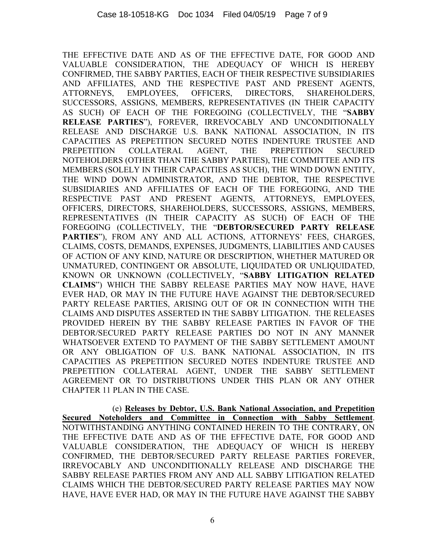THE EFFECTIVE DATE AND AS OF THE EFFECTIVE DATE, FOR GOOD AND VALUABLE CONSIDERATION, THE ADEQUACY OF WHICH IS HEREBY CONFIRMED, THE SABBY PARTIES, EACH OF THEIR RESPECTIVE SUBSIDIARIES AND AFFILIATES, AND THE RESPECTIVE PAST AND PRESENT AGENTS, ATTORNEYS, EMPLOYEES, OFFICERS, DIRECTORS, SHAREHOLDERS, SUCCESSORS, ASSIGNS, MEMBERS, REPRESENTATIVES (IN THEIR CAPACITY AS SUCH) OF EACH OF THE FOREGOING (COLLECTIVELY, THE "**SABBY RELEASE PARTIES**"), FOREVER, IRREVOCABLY AND UNCONDITIONALLY RELEASE AND DISCHARGE U.S. BANK NATIONAL ASSOCIATION, IN ITS CAPACITIES AS PREPETITION SECURED NOTES INDENTURE TRUSTEE AND PREPETITION COLLATERAL AGENT, THE PREPETITION SECURED NOTEHOLDERS (OTHER THAN THE SABBY PARTIES), THE COMMITTEE AND ITS MEMBERS (SOLELY IN THEIR CAPACITIES AS SUCH), THE WIND DOWN ENTITY, THE WIND DOWN ADMINISTRATOR, AND THE DEBTOR, THE RESPECTIVE SUBSIDIARIES AND AFFILIATES OF EACH OF THE FOREGOING, AND THE RESPECTIVE PAST AND PRESENT AGENTS, ATTORNEYS, EMPLOYEES, OFFICERS, DIRECTORS, SHAREHOLDERS, SUCCESSORS, ASSIGNS, MEMBERS, REPRESENTATIVES (IN THEIR CAPACITY AS SUCH) OF EACH OF THE FOREGOING (COLLECTIVELY, THE "**DEBTOR/SECURED PARTY RELEASE PARTIES**"), FROM ANY AND ALL ACTIONS, ATTORNEYS' FEES, CHARGES, CLAIMS, COSTS, DEMANDS, EXPENSES, JUDGMENTS, LIABILITIES AND CAUSES OF ACTION OF ANY KIND, NATURE OR DESCRIPTION, WHETHER MATURED OR UNMATURED, CONTINGENT OR ABSOLUTE, LIQUIDATED OR UNLIQUIDATED, KNOWN OR UNKNOWN (COLLECTIVELY, "**SABBY LITIGATION RELATED CLAIMS**") WHICH THE SABBY RELEASE PARTIES MAY NOW HAVE, HAVE EVER HAD, OR MAY IN THE FUTURE HAVE AGAINST THE DEBTOR/SECURED PARTY RELEASE PARTIES, ARISING OUT OF OR IN CONNECTION WITH THE CLAIMS AND DISPUTES ASSERTED IN THE SABBY LITIGATION. THE RELEASES PROVIDED HEREIN BY THE SABBY RELEASE PARTIES IN FAVOR OF THE DEBTOR/SECURED PARTY RELEASE PARTIES DO NOT IN ANY MANNER WHATSOEVER EXTEND TO PAYMENT OF THE SABBY SETTLEMENT AMOUNT OR ANY OBLIGATION OF U.S. BANK NATIONAL ASSOCIATION, IN ITS CAPACITIES AS PREPETITION SECURED NOTES INDENTURE TRUSTEE AND PREPETITION COLLATERAL AGENT, UNDER THE SABBY SETTLEMENT AGREEMENT OR TO DISTRIBUTIONS UNDER THIS PLAN OR ANY OTHER CHAPTER 11 PLAN IN THE CASE.

(e) **Releases by Debtor, U.S. Bank National Association, and Prepetition Secured Noteholders and Committee in Connection with Sabby Settlement**. NOTWITHSTANDING ANYTHING CONTAINED HEREIN TO THE CONTRARY, ON THE EFFECTIVE DATE AND AS OF THE EFFECTIVE DATE, FOR GOOD AND VALUABLE CONSIDERATION, THE ADEQUACY OF WHICH IS HEREBY CONFIRMED, THE DEBTOR/SECURED PARTY RELEASE PARTIES FOREVER, IRREVOCABLY AND UNCONDITIONALLY RELEASE AND DISCHARGE THE SABBY RELEASE PARTIES FROM ANY AND ALL SABBY LITIGATION RELATED CLAIMS WHICH THE DEBTOR/SECURED PARTY RELEASE PARTIES MAY NOW HAVE, HAVE EVER HAD, OR MAY IN THE FUTURE HAVE AGAINST THE SABBY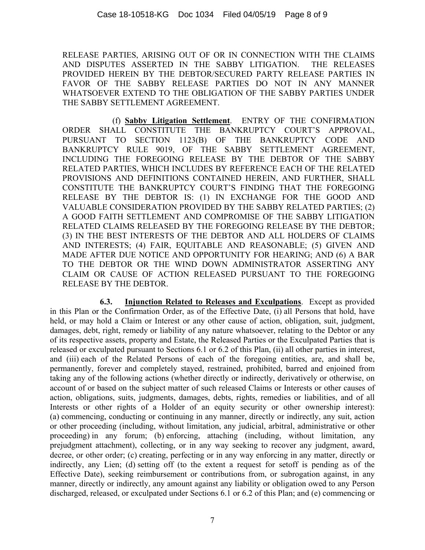RELEASE PARTIES, ARISING OUT OF OR IN CONNECTION WITH THE CLAIMS AND DISPUTES ASSERTED IN THE SABBY LITIGATION. THE RELEASES PROVIDED HEREIN BY THE DEBTOR/SECURED PARTY RELEASE PARTIES IN FAVOR OF THE SABBY RELEASE PARTIES DO NOT IN ANY MANNER WHATSOEVER EXTEND TO THE OBLIGATION OF THE SABBY PARTIES UNDER THE SABBY SETTLEMENT AGREEMENT.

(f) **Sabby Litigation Settlement**. ENTRY OF THE CONFIRMATION ORDER SHALL CONSTITUTE THE BANKRUPTCY COURT'S APPROVAL, PURSUANT TO SECTION 1123(B) OF THE BANKRUPTCY CODE AND BANKRUPTCY RULE 9019, OF THE SABBY SETTLEMENT AGREEMENT, INCLUDING THE FOREGOING RELEASE BY THE DEBTOR OF THE SABBY RELATED PARTIES, WHICH INCLUDES BY REFERENCE EACH OF THE RELATED PROVISIONS AND DEFINITIONS CONTAINED HEREIN, AND FURTHER, SHALL CONSTITUTE THE BANKRUPTCY COURT'S FINDING THAT THE FOREGOING RELEASE BY THE DEBTOR IS: (1) IN EXCHANGE FOR THE GOOD AND VALUABLE CONSIDERATION PROVIDED BY THE SABBY RELATED PARTIES; (2) A GOOD FAITH SETTLEMENT AND COMPROMISE OF THE SABBY LITIGATION RELATED CLAIMS RELEASED BY THE FOREGOING RELEASE BY THE DEBTOR; (3) IN THE BEST INTERESTS OF THE DEBTOR AND ALL HOLDERS OF CLAIMS AND INTERESTS; (4) FAIR, EQUITABLE AND REASONABLE; (5) GIVEN AND MADE AFTER DUE NOTICE AND OPPORTUNITY FOR HEARING; AND (6) A BAR TO THE DEBTOR OR THE WIND DOWN ADMINISTRATOR ASSERTING ANY CLAIM OR CAUSE OF ACTION RELEASED PURSUANT TO THE FOREGOING RELEASE BY THE DEBTOR.

**6.3. Injunction Related to Releases and Exculpations**. Except as provided in this Plan or the Confirmation Order, as of the Effective Date, (i) all Persons that hold, have held, or may hold a Claim or Interest or any other cause of action, obligation, suit, judgment, damages, debt, right, remedy or liability of any nature whatsoever, relating to the Debtor or any of its respective assets, property and Estate, the Released Parties or the Exculpated Parties that is released or exculpated pursuant to Sections 6.1 or 6.2 of this Plan, (ii) all other parties in interest, and (iii) each of the Related Persons of each of the foregoing entities, are, and shall be, permanently, forever and completely stayed, restrained, prohibited, barred and enjoined from taking any of the following actions (whether directly or indirectly, derivatively or otherwise, on account of or based on the subject matter of such released Claims or Interests or other causes of action, obligations, suits, judgments, damages, debts, rights, remedies or liabilities, and of all Interests or other rights of a Holder of an equity security or other ownership interest): (a) commencing, conducting or continuing in any manner, directly or indirectly, any suit, action or other proceeding (including, without limitation, any judicial, arbitral, administrative or other proceeding) in any forum; (b) enforcing, attaching (including, without limitation, any prejudgment attachment), collecting, or in any way seeking to recover any judgment, award, decree, or other order; (c) creating, perfecting or in any way enforcing in any matter, directly or indirectly, any Lien; (d) setting off (to the extent a request for setoff is pending as of the Effective Date), seeking reimbursement or contributions from, or subrogation against, in any manner, directly or indirectly, any amount against any liability or obligation owed to any Person discharged, released, or exculpated under Sections 6.1 or 6.2 of this Plan; and (e) commencing or